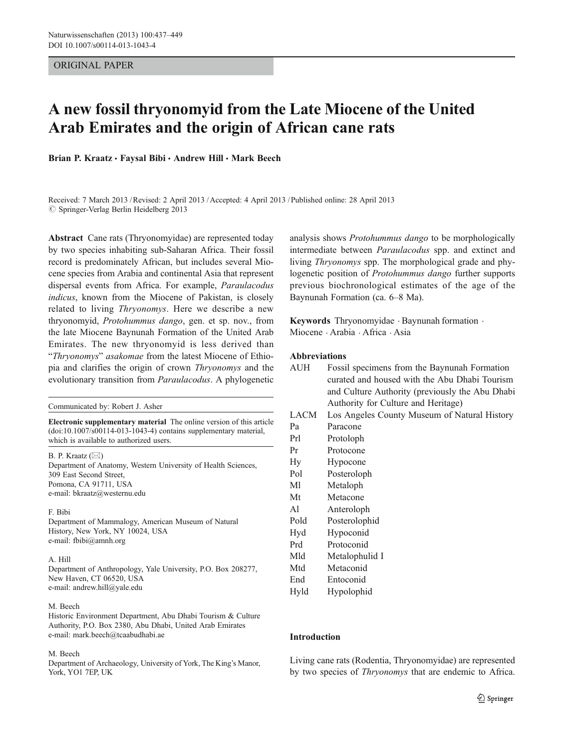## ORIGINAL PAPER

# A new fossil thryonomyid from the Late Miocene of the United Arab Emirates and the origin of African cane rats

Brian P. Kraatz · Faysal Bibi · Andrew Hill · Mark Beech

Received: 7 March 2013 /Revised: 2 April 2013 /Accepted: 4 April 2013 / Published online: 28 April 2013  $\oslash$  Springer-Verlag Berlin Heidelberg 2013

Abstract Cane rats (Thryonomyidae) are represented today by two species inhabiting sub-Saharan Africa. Their fossil record is predominately African, but includes several Miocene species from Arabia and continental Asia that represent dispersal events from Africa. For example, Paraulacodus indicus, known from the Miocene of Pakistan, is closely related to living Thryonomys. Here we describe a new thryonomyid, Protohummus dango, gen. et sp. nov., from the late Miocene Baynunah Formation of the United Arab Emirates. The new thryonomyid is less derived than "Thryonomys" asakomae from the latest Miocene of Ethiopia and clarifies the origin of crown Thryonomys and the evolutionary transition from Paraulacodus. A phylogenetic

Communicated by: Robert J. Asher

Electronic supplementary material The online version of this article (doi:[10.1007/s00114-013-1043-4\)](http://dx.doi.org/10.1007/s00114-013-1043-4) contains supplementary material, which is available to authorized users.

B. P. Kraatz  $(\boxtimes)$ Department of Anatomy, Western University of Health Sciences, 309 East Second Street, Pomona, CA 91711, USA e-mail: bkraatz@westernu.edu

#### F. Bibi

Department of Mammalogy, American Museum of Natural History, New York, NY 10024, USA e-mail: fbibi@amnh.org

#### A. Hill

Department of Anthropology, Yale University, P.O. Box 208277, New Haven, CT 06520, USA e-mail: andrew.hill@yale.edu

#### M. Beech

Historic Environment Department, Abu Dhabi Tourism & Culture Authority, P.O. Box 2380, Abu Dhabi, United Arab Emirates e-mail: mark.beech@tcaabudhabi.ae

#### M. Beech

Department of Archaeology, University of York, The King's Manor, York, YO1 7EP, UK

analysis shows Protohummus dango to be morphologically intermediate between Paraulacodus spp. and extinct and living Thryonomys spp. The morphological grade and phylogenetic position of Protohummus dango further supports previous biochronological estimates of the age of the Baynunah Formation (ca. 6–8 Ma).

Keywords Thryonomyidae . Baynunah formation . Miocene . Arabia . Africa . Asia

#### Abbreviations

| AUH  | Fossil specimens from the Baynunah Formation    |
|------|-------------------------------------------------|
|      | curated and housed with the Abu Dhabi Tourism   |
|      | and Culture Authority (previously the Abu Dhabi |
|      | Authority for Culture and Heritage)             |
| LACM | Los Angeles County Museum of Natural History    |

- 
- Pa Paracone Prl Protoloph Pr Protocone
- 
- Hy Hypocone
- Pol Posteroloph
- Ml Metaloph Mt Metacone
- Al Anteroloph
- Pold Posterolophid
- Hyd Hypoconid
- Prd Protoconid
- Mld Metalophulid I
- Mtd Metaconid
- End Entoconid
- Hyld Hypolophid

## Introduction

Living cane rats (Rodentia, Thryonomyidae) are represented by two species of Thryonomys that are endemic to Africa.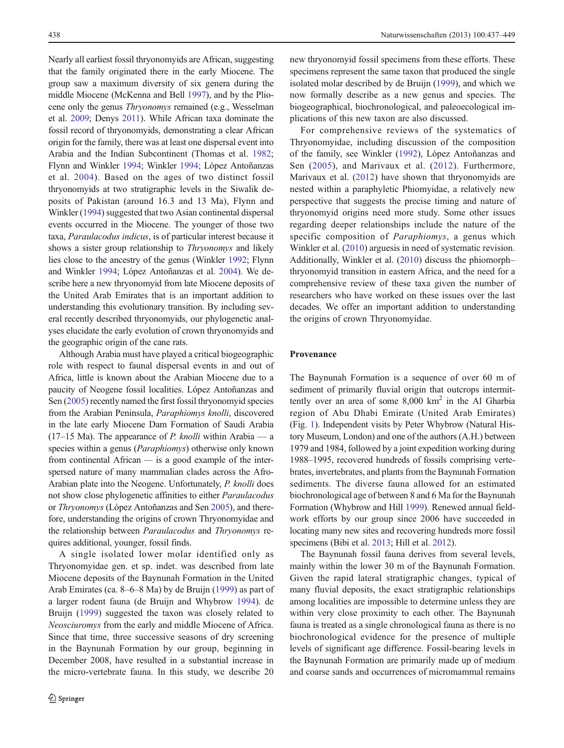Nearly all earliest fossil thryonomyids are African, suggesting that the family originated there in the early Miocene. The group saw a maximum diversity of six genera during the middle Miocene (McKenna and Bell [1997\)](#page-12-0), and by the Pliocene only the genus Thryonomys remained (e.g., Wesselman et al. [2009](#page-12-0); Denys [2011](#page-11-0)). While African taxa dominate the fossil record of thryonomyids, demonstrating a clear African origin for the family, there was at least one dispersal event into Arabia and the Indian Subcontinent (Thomas et al. [1982](#page-12-0); Flynn and Winkler [1994](#page-11-0); Winkler [1994](#page-12-0); López Antoñanzas et al. [2004](#page-12-0)). Based on the ages of two distinct fossil thryonomyids at two stratigraphic levels in the Siwalik deposits of Pakistan (around 16.3 and 13 Ma), Flynn and Winkler ([1994](#page-11-0)) suggested that two Asian continental dispersal events occurred in the Miocene. The younger of those two taxa, Paraulacodus indicus, is of particular interest because it shows a sister group relationship to Thryonomys and likely lies close to the ancestry of the genus (Winkler [1992;](#page-12-0) Flynn and Winkler [1994;](#page-11-0) López Antoñanzas et al. [2004\)](#page-12-0). We describe here a new thryonomyid from late Miocene deposits of the United Arab Emirates that is an important addition to understanding this evolutionary transition. By including several recently described thryonomyids, our phylogenetic analyses elucidate the early evolution of crown thryonomyids and the geographic origin of the cane rats.

Although Arabia must have played a critical biogeographic role with respect to faunal dispersal events in and out of Africa, little is known about the Arabian Miocene due to a paucity of Neogene fossil localities. López Antoñanzas and Sen ([2005](#page-11-0)) recently named the first fossil thryonomyid species from the Arabian Peninsula, Paraphiomys knolli, discovered in the late early Miocene Dam Formation of Saudi Arabia  $(17–15 \text{ Ma})$ . The appearance of *P. knolli* within Arabia — a species within a genus (*Paraphiomys*) otherwise only known from continental African — is a good example of the interspersed nature of many mammalian clades across the Afro-Arabian plate into the Neogene. Unfortunately, P. knolli does not show close phylogenetic affinities to either Paraulacodus or Thryonomys (López Antoñanzas and Sen [2005\)](#page-11-0), and therefore, understanding the origins of crown Thryonomyidae and the relationship between Paraulacodus and Thryonomys requires additional, younger, fossil finds.

A single isolated lower molar identified only as Thryonomyidae gen. et sp. indet. was described from late Miocene deposits of the Baynunah Formation in the United Arab Emirates (ca. 8–6–8 Ma) by de Bruijn [\(1999](#page-11-0)) as part of a larger rodent fauna (de Bruijn and Whybrow [1994\)](#page-11-0). de Bruijn ([1999\)](#page-11-0) suggested the taxon was closely related to Neosciuromys from the early and middle Miocene of Africa. Since that time, three successive seasons of dry screening in the Baynunah Formation by our group, beginning in December 2008, have resulted in a substantial increase in the micro-vertebrate fauna. In this study, we describe 20

new thryonomyid fossil specimens from these efforts. These specimens represent the same taxon that produced the single isolated molar described by de Bruijn ([1999\)](#page-11-0), and which we now formally describe as a new genus and species. The biogeographical, biochronological, and paleoecological implications of this new taxon are also discussed.

For comprehensive reviews of the systematics of Thryonomyidae, including discussion of the composition of the family, see Winkler [\(1992](#page-12-0)), López Antoñanzas and Sen ([2005\)](#page-11-0), and Marivaux et al. ([2012\)](#page-12-0). Furthermore, Marivaux et al. ([2012\)](#page-12-0) have shown that thryonomyids are nested within a paraphyletic Phiomyidae, a relatively new perspective that suggests the precise timing and nature of thryonomyid origins need more study. Some other issues regarding deeper relationships include the nature of the specific composition of Paraphiomys, a genus which Winkler et al. ([2010\)](#page-12-0) arguesis in need of systematic revision. Additionally, Winkler et al. [\(2010](#page-12-0)) discuss the phiomorph– thryonomyid transition in eastern Africa, and the need for a comprehensive review of these taxa given the number of researchers who have worked on these issues over the last decades. We offer an important addition to understanding the origins of crown Thryonomyidae.

### Provenance

The Baynunah Formation is a sequence of over 60 m of sediment of primarily fluvial origin that outcrops intermittently over an area of some  $8,000 \text{ km}^2$  in the Al Gharbia region of Abu Dhabi Emirate (United Arab Emirates) (Fig. [1](#page-2-0)). Independent visits by Peter Whybrow (Natural History Museum, London) and one of the authors (A.H.) between 1979 and 1984, followed by a joint expedition working during 1988–1995, recovered hundreds of fossils comprising vertebrates, invertebrates, and plants from the Baynunah Formation sediments. The diverse fauna allowed for an estimated biochronological age of between 8 and 6 Ma for the Baynunah Formation (Whybrow and Hill [1999\)](#page-12-0). Renewed annual fieldwork efforts by our group since 2006 have succeeded in locating many new sites and recovering hundreds more fossil specimens (Bibi et al. [2013;](#page-11-0) Hill et al. [2012\)](#page-11-0).

The Baynunah fossil fauna derives from several levels, mainly within the lower 30 m of the Baynunah Formation. Given the rapid lateral stratigraphic changes, typical of many fluvial deposits, the exact stratigraphic relationships among localities are impossible to determine unless they are within very close proximity to each other. The Baynunah fauna is treated as a single chronological fauna as there is no biochronological evidence for the presence of multiple levels of significant age difference. Fossil-bearing levels in the Baynunah Formation are primarily made up of medium and coarse sands and occurrences of micromammal remains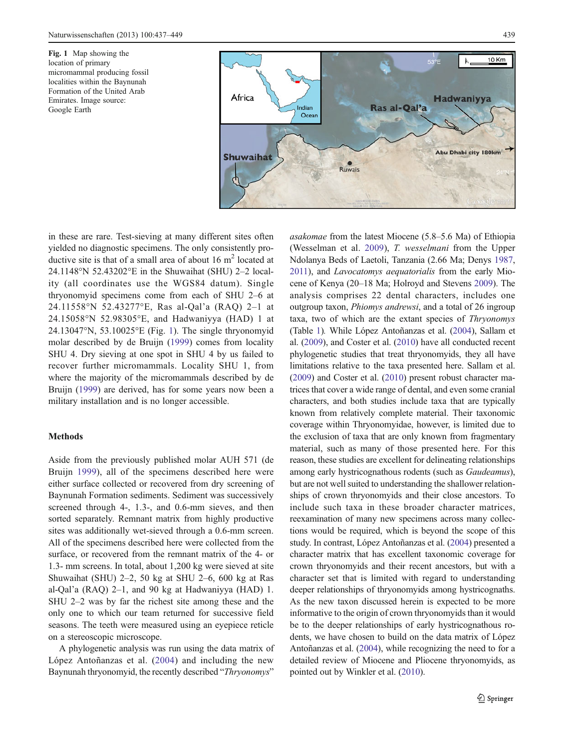<span id="page-2-0"></span>Fig. 1 Map showing the location of primary micromammal producing fossil localities within the Baynunah Formation of the United Arab Emirates. Image source: Google Earth



in these are rare. Test-sieving at many different sites often yielded no diagnostic specimens. The only consistently productive site is that of a small area of about  $16 \text{ m}^2$  located at 24.1148°N 52.43202°E in the Shuwaihat (SHU) 2–2 locality (all coordinates use the WGS84 datum). Single thryonomyid specimens come from each of SHU 2–6 at 24.11558°N 52.43277°E, Ras al-Qal'a (RAQ) 2–1 at 24.15058°N 52.98305°E, and Hadwaniyya (HAD) 1 at 24.13047°N, 53.10025°E (Fig. 1). The single thryonomyid molar described by de Bruijn ([1999\)](#page-11-0) comes from locality SHU 4. Dry sieving at one spot in SHU 4 by us failed to recover further micromammals. Locality SHU 1, from where the majority of the micromammals described by de Bruijn [\(1999](#page-11-0)) are derived, has for some years now been a military installation and is no longer accessible.

#### Methods

Aside from the previously published molar AUH 571 (de Bruijn [1999\)](#page-11-0), all of the specimens described here were either surface collected or recovered from dry screening of Baynunah Formation sediments. Sediment was successively screened through 4-, 1.3-, and 0.6-mm sieves, and then sorted separately. Remnant matrix from highly productive sites was additionally wet-sieved through a 0.6-mm screen. All of the specimens described here were collected from the surface, or recovered from the remnant matrix of the 4- or 1.3- mm screens. In total, about 1,200 kg were sieved at site Shuwaihat (SHU) 2–2, 50 kg at SHU 2–6, 600 kg at Ras al-Qal'a (RAQ) 2–1, and 90 kg at Hadwaniyya (HAD) 1. SHU 2–2 was by far the richest site among these and the only one to which our team returned for successive field seasons. The teeth were measured using an eyepiece reticle on a stereoscopic microscope.

A phylogenetic analysis was run using the data matrix of López Antoñanzas et al. ([2004\)](#page-12-0) and including the new Baynunah thryonomyid, the recently described "Thryonomys"

asakomae from the latest Miocene (5.8–5.6 Ma) of Ethiopia (Wesselman et al. [2009\)](#page-12-0), T. wesselmani from the Upper Ndolanya Beds of Laetoli, Tanzania (2.66 Ma; Denys [1987,](#page-11-0) [2011](#page-11-0)), and Lavocatomys aequatorialis from the early Miocene of Kenya (20–18 Ma; Holroyd and Stevens [2009\)](#page-11-0). The analysis comprises 22 dental characters, includes one outgroup taxon, Phiomys andrewsi, and a total of 26 ingroup taxa, two of which are the extant species of Thryonomys (Table [1\)](#page-3-0). While López Antoñanzas et al. [\(2004\)](#page-12-0), Sallam et al. [\(2009\)](#page-12-0), and Coster et al. [\(2010\)](#page-11-0) have all conducted recent phylogenetic studies that treat thryonomyids, they all have limitations relative to the taxa presented here. Sallam et al. [\(2009\)](#page-12-0) and Coster et al. ([2010](#page-11-0)) present robust character matrices that cover a wide range of dental, and even some cranial characters, and both studies include taxa that are typically known from relatively complete material. Their taxonomic coverage within Thryonomyidae, however, is limited due to the exclusion of taxa that are only known from fragmentary material, such as many of those presented here. For this reason, these studies are excellent for delineating relationships among early hystricognathous rodents (such as Gaudeamus), but are not well suited to understanding the shallower relationships of crown thryonomyids and their close ancestors. To include such taxa in these broader character matrices, reexamination of many new specimens across many collections would be required, which is beyond the scope of this study. In contrast, López Antoñanzas et al. ([2004](#page-12-0)) presented a character matrix that has excellent taxonomic coverage for crown thryonomyids and their recent ancestors, but with a character set that is limited with regard to understanding deeper relationships of thryonomyids among hystricognaths. As the new taxon discussed herein is expected to be more informative to the origin of crown thryonomyids than it would be to the deeper relationships of early hystricognathous rodents, we have chosen to build on the data matrix of López Antoñanzas et al. ([2004](#page-12-0)), while recognizing the need to for a detailed review of Miocene and Pliocene thryonomyids, as pointed out by Winkler et al. [\(2010\)](#page-12-0).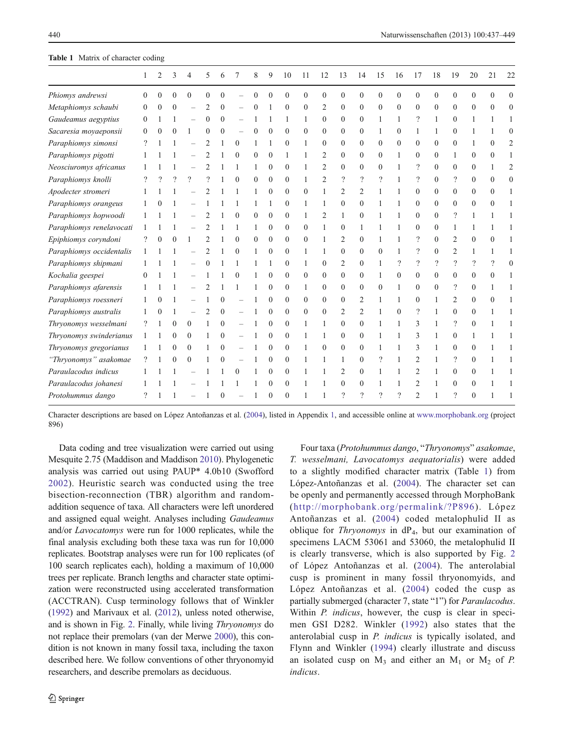#### <span id="page-3-0"></span>Table 1 Matrix of character coding

|                          | 1        | 2 | 3        | 4        | 5        | 6        |          | 8            | 9        | 10             | 11           | 12             | 13             | 14             | 15       | 16             | 17             | 18       | 19                       | 20                       | 21       | 22             |
|--------------------------|----------|---|----------|----------|----------|----------|----------|--------------|----------|----------------|--------------|----------------|----------------|----------------|----------|----------------|----------------|----------|--------------------------|--------------------------|----------|----------------|
| Phiomys andrewsi         | $\Omega$ |   | $\theta$ | $\theta$ | $\Omega$ |          |          | $\Omega$     | $\theta$ | $\theta$       | $\theta$     | $\theta$       | $\theta$       | $\theta$       | $\theta$ | $\theta$       | $\theta$       | $\theta$ | $\theta$                 | $\theta$                 | $\Omega$ | $\theta$       |
| Metaphiomys schaubi      | $\Omega$ |   | $\Omega$ |          |          | 0        |          | $\Omega$     |          | $\theta$       | $\theta$     | 2              | $\Omega$       | $\theta$       | $\Omega$ | $\Omega$       | $\Omega$       | 0        | $\Omega$                 | 0                        | $\Omega$ | $\Omega$       |
| Gaudeamus aegyptius      | $\theta$ |   |          |          | $\Omega$ | $\Omega$ |          |              |          | 1              | 1            | $\theta$       | $\Omega$       | $\Omega$       | 1        | 1              | $\gamma$       | 1        | $\theta$                 |                          |          |                |
| Sacaresia moyaeponsii    | $\Omega$ |   | $\Omega$ |          | $\Omega$ | $\Omega$ |          | $\theta$     | $\Omega$ | $\Omega$       | $\theta$     | $\theta$       | $\theta$       | $\Omega$       |          | $\Omega$       | 1              | 1        | $\theta$                 |                          |          | $\Omega$       |
| Paraphiomys simonsi      |          |   |          |          |          |          | $\Omega$ |              |          | $\mathbf{0}$   | 1            | $\Omega$       | $\Omega$       | $\mathbf{0}$   | $\Omega$ | $\Omega$       | $\theta$       | $\theta$ | $\theta$                 |                          | 0        | $\overline{2}$ |
| Paraphiomys pigotti      |          |   |          |          |          |          | $\Omega$ | $\Omega$     | $\Omega$ | 1              | 1            | 2              | $\Omega$       | $\Omega$       | $\Omega$ | 1              | $\theta$       | $\Omega$ | 1                        | $\Omega$                 | 0        |                |
| Neosciuromys africanus   |          |   |          |          |          |          |          | $\mathbf{1}$ | $\Omega$ | $\Omega$       | 1            | $\overline{2}$ | $\Omega$       | $\Omega$       | $\Omega$ | 1              | $\gamma$       | $\Omega$ | $\Omega$                 | $\Omega$                 |          | $\overline{2}$ |
| Paraphiomys knolli       |          |   |          | $\Omega$ |          |          | $\theta$ | $\theta$     | $\Omega$ | $\Omega$       | 1            | $\overline{c}$ | $\gamma$       | $\gamma$       | $\gamma$ |                | $\gamma$       | $\theta$ | $\overline{\phantom{a}}$ | $\theta$                 | 0        | $\Omega$       |
| Apodecter stromeri       |          |   |          |          |          |          |          |              | $\Omega$ | $\Omega$       | $\Omega$     | 1              | $\overline{c}$ | 2              |          |                | $\theta$       | $\Omega$ | $\theta$                 | $\Omega$                 | 0        |                |
| Paraphiomys orangeus     |          |   |          |          |          |          |          | 1            |          | $\Omega$       | 1            | 1              | $\theta$       | $\Omega$       |          |                | $\theta$       | $\theta$ | $\theta$                 | $\theta$                 | 0        |                |
| Paraphiomys hopwoodi     |          |   |          |          |          |          |          | $\Omega$     | $\Omega$ | $\Omega$       | 1            | 2              | $\mathbf{1}$   | $\Omega$       |          |                | $\Omega$       | $\Omega$ | ?                        |                          |          |                |
| Paraphiomys renelavocati |          |   |          |          |          |          |          |              | $\theta$ | $\mathbf{0}$   | $\theta$     |                | $\mathbf{0}$   |                |          |                | $\theta$       | $\Omega$ | 1                        |                          |          |                |
| Epiphiomys coryndoni     |          |   |          |          |          |          | $\Omega$ | $\Omega$     | $\Omega$ | $\Omega$       | $\Omega$     | 1              | 2              | $\Omega$       |          |                | $\gamma$       | $\Omega$ | 2                        | $\Omega$                 |          |                |
| Paraphiomys occidentalis |          |   |          |          |          |          | $\Omega$ | 1            | $\Omega$ | $\Omega$       | 1            | 1              | $\theta$       | $\Omega$       | $\Omega$ | 1              | ?              | $\Omega$ | 2                        |                          |          |                |
| Paraphiomys shipmani     |          |   |          |          |          |          |          | 1            |          | $\Omega$       | $\mathbf{1}$ | $\theta$       | $\overline{2}$ | $\theta$       | 1        | $\overline{?}$ | $\gamma$       | $\gamma$ | $\overline{\phantom{a}}$ | $\overline{\phantom{a}}$ | ?        | $\Omega$       |
| Kochalia geespei         | $\Omega$ |   |          |          |          |          | $\Omega$ |              | $\Omega$ | $\Omega$       | $\theta$     | $\theta$       | $\Omega$       | $\Omega$       |          | $\Omega$       | $\theta$       | $\Omega$ | $\Omega$                 | $\Omega$                 | 0        |                |
| Paraphiomys afarensis    |          |   |          |          |          |          |          |              | $\theta$ | $\Omega$       | $\mathbf{1}$ | $\theta$       | $\theta$       | $\theta$       | $\theta$ | 1              | $\theta$       | $\theta$ | ?                        | $\theta$                 |          |                |
| Paraphiomys roessneri    |          |   |          |          |          | 0        |          |              | $\Omega$ | $\Omega$       | $\Omega$     | $\Omega$       | $\theta$       | $\overline{c}$ | 1        | 1              | $\Omega$       |          | 2                        | $\Omega$                 | 0        |                |
| Paraphiomys australis    |          |   |          |          |          | $\Omega$ |          |              | $\theta$ | $\overline{0}$ | $\theta$     | $\mathbf{0}$   | 2              | 2              |          | $\Omega$       | $\gamma$       |          | $\theta$                 | $\Omega$                 |          |                |
| Thryonomys wesselmani    | ?        |   | $\Omega$ | $\Omega$ |          | $\Omega$ |          |              | $\Omega$ | $\Omega$       | 1            | 1              | $\Omega$       | $\Omega$       |          | 1              | 3              | 1        | ?                        | $\theta$                 |          |                |
| Thryonomys swinderianus  | 1        |   | $\Omega$ | $\Omega$ | 1        | $\Omega$ |          |              | $\Omega$ | $\Omega$       | $\mathbf{1}$ | $\mathbf{1}$   | $\theta$       | $\theta$       |          |                | 3              |          | $\theta$                 |                          |          |                |
| Thryonomys gregorianus   |          |   | 0        | $\theta$ |          |          |          |              | $\theta$ | $\Omega$       | 1            | $\theta$       | $\theta$       | $\Omega$       |          |                | 3              |          | $\theta$                 | $\theta$                 |          |                |
| "Thryonomys" asakomae    |          |   | $\Omega$ | $\Omega$ |          |          |          |              | $\Omega$ | $\Omega$       |              | 1              | 1              | $\Omega$       | $\gamma$ |                | $\overline{2}$ |          | $\overline{\phantom{a}}$ | $\Omega$                 |          |                |
| Paraulacodus indicus     |          |   |          |          |          |          | 0        |              | $\Omega$ | $\mathbf{0}$   |              |                | 2              | $\theta$       |          |                | $\overline{c}$ |          | $\theta$                 | $\theta$                 |          |                |
| Paraulacodus johanesi    |          |   |          |          |          |          |          |              | 0        | $\Omega$       |              |                | $\Omega$       | $\Omega$       |          |                | 2              |          | 0                        | 0                        |          |                |
| Protohummus dango        |          |   |          |          |          |          |          |              | $\Omega$ | $\Omega$       |              |                | $\mathcal{P}$  | $\mathcal{D}$  | $\Omega$ | $\Omega$       |                |          | $\mathcal{D}$            | $\Omega$                 |          |                |

Character descriptions are based on López Antoñanzas et al. [\(2004](#page-12-0)), listed in Appendix [1](#page-10-0), and accessible online at [www.morphobank.org](http://www.morphobank.org/) (project 896)

Data coding and tree visualization were carried out using Mesquite 2.75 (Maddison and Maddison [2010\)](#page-12-0). Phylogenetic analysis was carried out using PAUP\* 4.0b10 (Swofford [2002](#page-12-0)). Heuristic search was conducted using the tree bisection-reconnection (TBR) algorithm and randomaddition sequence of taxa. All characters were left unordered and assigned equal weight. Analyses including Gaudeamus and/or Lavocatomys were run for 1000 replicates, while the final analysis excluding both these taxa was run for 10,000 replicates. Bootstrap analyses were run for 100 replicates (of 100 search replicates each), holding a maximum of 10,000 trees per replicate. Branch lengths and character state optimization were reconstructed using accelerated transformation (ACCTRAN). Cusp terminology follows that of Winkler [\(1992\)](#page-12-0) and Marivaux et al. ([2012](#page-12-0)), unless noted otherwise, and is shown in Fig. [2](#page-4-0). Finally, while living Thryonomys do not replace their premolars (van der Merwe [2000](#page-12-0)), this condition is not known in many fossil taxa, including the taxon described here. We follow conventions of other thryonomyid researchers, and describe premolars as deciduous.

Four taxa (Protohummus dango, "Thryonomys" asakomae, T. wesselmani, Lavocatomys aequatorialis) were added to a slightly modified character matrix (Table 1) from López-Antoñanzas et al. ([2004](#page-12-0)). The character set can be openly and permanently accessed through MorphoBank ([http://morphobank.org/permalink/?P896\)](http://morphobank.org/permalink/?P896). López Antoñanzas et al. ([2004](#page-12-0)) coded metalophulid II as oblique for *Thryonomys* in  $dP_4$ , but our examination of specimens LACM 53061 and 53060, the metalophulid II is clearly transverse, which is also supported by Fig. [2](#page-4-0) of López Antoñanzas et al. ([2004](#page-12-0)). The anterolabial cusp is prominent in many fossil thryonomyids, and López Antoñanzas et al. ([2004\)](#page-12-0) coded the cusp as partially submerged (character 7, state "1") for Paraulacodus. Within *P. indicus*, however, the cusp is clear in specimen GSI D282. Winkler ([1992](#page-12-0)) also states that the anterolabial cusp in P. indicus is typically isolated, and Flynn and Winkler ([1994](#page-11-0)) clearly illustrate and discuss an isolated cusp on  $M_3$  and either an  $M_1$  or  $M_2$  of P. indicus.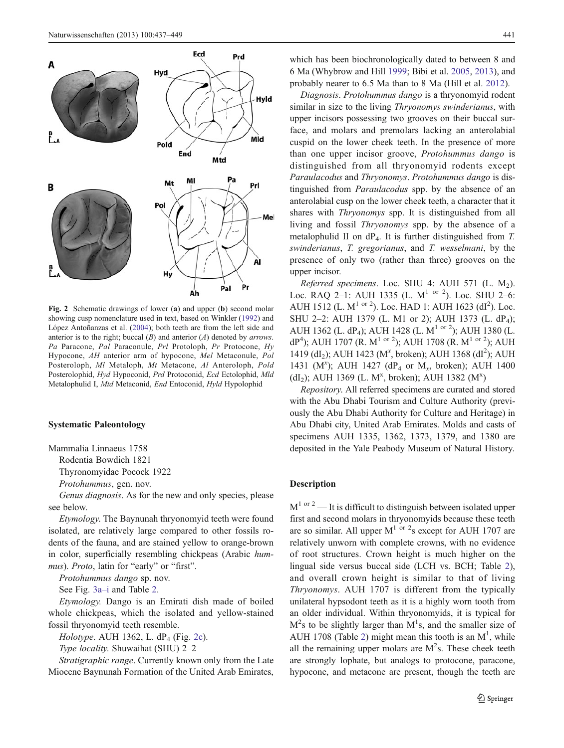<span id="page-4-0"></span>

Fig. 2 Schematic drawings of lower (a) and upper (b) second molar showing cusp nomenclature used in text, based on Winkler [\(1992\)](#page-12-0) and López Antoñanzas et al. ([2004\)](#page-12-0); both teeth are from the left side and anterior is to the right; buccal  $(B)$  and anterior  $(A)$  denoted by *arrows*. Pa Paracone, Pal Paraconule, Prl Protoloph, Pr Protocone, Hy Hypocone, AH anterior arm of hypocone, Mel Metaconule, Pol Posteroloph, Ml Metaloph, Mt Metacone, Al Anteroloph, Pold Posterolophid, Hyd Hypoconid, Prd Protoconid, Ecd Ectolophid, Mld Metalophulid I, Mtd Metaconid, End Entoconid, Hyld Hypolophid

#### Systematic Paleontology

Mammalia Linnaeus 1758

Rodentia Bowdich 1821

Thyronomyidae Pocock 1922

Protohummus, gen. nov.

Genus diagnosis. As for the new and only species, please see below.

Etymology. The Baynunah thryonomyid teeth were found isolated, are relatively large compared to other fossils rodents of the fauna, and are stained yellow to orange-brown in color, superficially resembling chickpeas (Arabic hummus). Proto, latin for "early" or "first".

Protohummus dango sp. nov.

See Fig. [3a](#page-5-0)–i and Table [2](#page-6-0).

Etymology. Dango is an Emirati dish made of boiled whole chickpeas, which the isolated and yellow-stained fossil thryonomyid teeth resemble.

Holotype. AUH 1362, L.  $dP_4$  (Fig. 2c).

Type locality. Shuwaihat (SHU) 2–2

Stratigraphic range. Currently known only from the Late Miocene Baynunah Formation of the United Arab Emirates,

which has been biochronologically dated to between 8 and 6 Ma (Whybrow and Hill [1999;](#page-12-0) Bibi et al. [2005,](#page-11-0) [2013\)](#page-11-0), and probably nearer to 6.5 Ma than to 8 Ma (Hill et al. [2012](#page-11-0)).

Diagnosis. Protohummus dango is a thryonomyid rodent similar in size to the living *Thryonomys swinderianus*, with upper incisors possessing two grooves on their buccal surface, and molars and premolars lacking an anterolabial cuspid on the lower cheek teeth. In the presence of more than one upper incisor groove, Protohummus dango is distinguished from all thryonomyid rodents except Paraulacodus and Thryonomys. Protohummus dango is distinguished from Paraulacodus spp. by the absence of an anterolabial cusp on the lower cheek teeth, a character that it shares with Thryonomys spp. It is distinguished from all living and fossil Thryonomys spp. by the absence of a metalophulid II on  $dP_4$ . It is further distinguished from T. swinderianus, T. gregorianus, and T. wesselmani, by the presence of only two (rather than three) grooves on the upper incisor.

Referred specimens. Loc. SHU 4: AUH 571 (L.  $M_2$ ). Loc. RAQ 2–1: AUH 1335 (L.  $M^{1}$  or <sup>2</sup>). Loc. SHU 2–6: AUH 1512 (L. M<sup>1 or 2</sup>). Loc. HAD 1: AUH 1623 (dI<sup>2</sup>). Loc. SHU 2-2: AUH 1379 (L. M1 or 2); AUH 1373 (L. dP<sub>4</sub>); AUH 1362 (L. dP<sub>4</sub>); AUH 1428 (L. M<sup>1 or 2</sup>); AUH 1380 (L. dP<sup>4</sup>); AUH 1707 (R. M<sup>1 or 2</sup>); AUH 1708 (R. M<sup>1 or 2</sup>); AUH 1419 (dI<sub>2</sub>); AUH 1423 (M<sup>x</sup>, broken); AUH 1368 (dI<sup>2</sup>); AUH 1431 (M<sup>x</sup>); AUH 1427 (dP<sub>4</sub> or M<sub>x</sub>, broken); AUH 1400 (dI<sub>2</sub>); AUH 1369 (L. M<sup>x</sup>, broken); AUH 1382 (M<sup>x</sup>)

Repository. All referred specimens are curated and stored with the Abu Dhabi Tourism and Culture Authority (previously the Abu Dhabi Authority for Culture and Heritage) in Abu Dhabi city, United Arab Emirates. Molds and casts of specimens AUH 1335, 1362, 1373, 1379, and 1380 are deposited in the Yale Peabody Museum of Natural History.

#### Description

 $M^{1 \text{ or } 2}$  — It is difficult to distinguish between isolated upper first and second molars in thryonomyids because these teeth are so similar. All upper  $M^{1}$  or  $2s$  except for AUH 1707 are relatively unworn with complete crowns, with no evidence of root structures. Crown height is much higher on the lingual side versus buccal side (LCH vs. BCH; Table [2\)](#page-6-0), and overall crown height is similar to that of living Thryonomys. AUH 1707 is different from the typically unilateral hypsodont teeth as it is a highly worn tooth from an older individual. Within thryonomyids, it is typical for  $M<sup>2</sup>s$  to be slightly larger than  $M<sup>1</sup>s$ , and the smaller size of AUH 1708 (Table [2](#page-6-0)) might mean this tooth is an  $M<sup>1</sup>$ , while all the remaining upper molars are  $M^2$ s. These cheek teeth are strongly lophate, but analogs to protocone, paracone, hypocone, and metacone are present, though the teeth are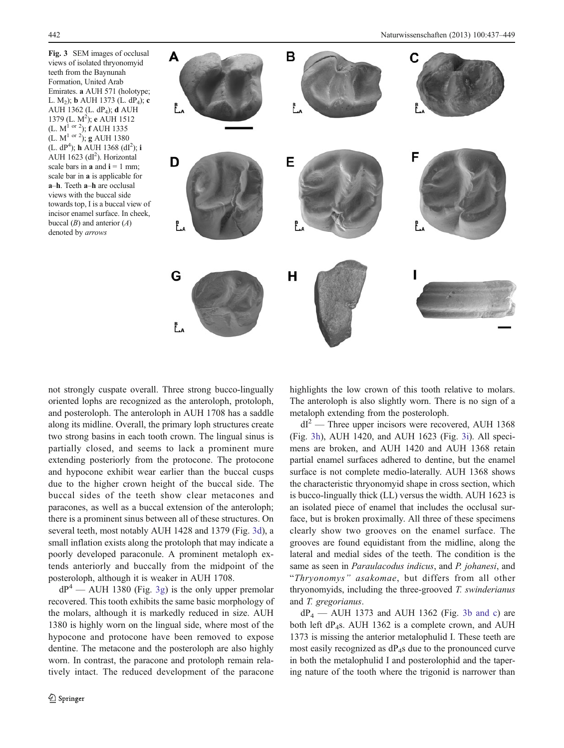<span id="page-5-0"></span>Fig. 3 SEM images of occlusal views of isolated thryonomyid teeth from the Baynunah Formation, United Arab Emirates. a AUH 571 (holotype; L. M<sub>2</sub>); **b** AUH 1373 (L. dP<sub>4</sub>); **c** AUH 1362 (L. dP4); d AUH 1379 (L. M<sup>2</sup>); e AUH 1512 (L.  $M^{1}$  or <sup>2</sup>);  $\tilde{f}$  AUH 1335 (L.  $M^{1}$  or 2); g AUH 1380  $(L. dP<sup>4</sup>)$ ; h AUH 1368 (dI<sup>2</sup>); i AUH 1623 (dl<sup>2</sup>). Horizontal scale bars in **a** and  $i = 1$  mm; scale bar in a is applicable for a–h. Teeth a–h are occlusal views with the buccal side towards top, I is a buccal view of incisor enamel surface. In cheek, buccal  $(B)$  and anterior  $(A)$ denoted by arrows



not strongly cuspate overall. Three strong bucco-lingually oriented lophs are recognized as the anteroloph, protoloph, and posteroloph. The anteroloph in AUH 1708 has a saddle along its midline. Overall, the primary loph structures create two strong basins in each tooth crown. The lingual sinus is partially closed, and seems to lack a prominent mure extending posteriorly from the protocone. The protocone and hypocone exhibit wear earlier than the buccal cusps due to the higher crown height of the buccal side. The buccal sides of the teeth show clear metacones and paracones, as well as a buccal extension of the anteroloph; there is a prominent sinus between all of these structures. On several teeth, most notably AUH 1428 and 1379 (Fig. 3d), a small inflation exists along the protoloph that may indicate a poorly developed paraconule. A prominent metaloph extends anteriorly and buccally from the midpoint of the posteroloph, although it is weaker in AUH 1708.

 $dP^4$  — AUH 1380 (Fig. 3g) is the only upper premolar recovered. This tooth exhibits the same basic morphology of the molars, although it is markedly reduced in size. AUH 1380 is highly worn on the lingual side, where most of the hypocone and protocone have been removed to expose dentine. The metacone and the posteroloph are also highly worn. In contrast, the paracone and protoloph remain relatively intact. The reduced development of the paracone highlights the low crown of this tooth relative to molars. The anteroloph is also slightly worn. There is no sign of a metaloph extending from the posteroloph.

 $dI<sup>2</sup>$  — Three upper incisors were recovered, AUH 1368 (Fig. 3h), AUH 1420, and AUH 1623 (Fig. 3i). All specimens are broken, and AUH 1420 and AUH 1368 retain partial enamel surfaces adhered to dentine, but the enamel surface is not complete medio-laterally. AUH 1368 shows the characteristic thryonomyid shape in cross section, which is bucco-lingually thick (LL) versus the width. AUH 1623 is an isolated piece of enamel that includes the occlusal surface, but is broken proximally. All three of these specimens clearly show two grooves on the enamel surface. The grooves are found equidistant from the midline, along the lateral and medial sides of the teeth. The condition is the same as seen in Paraulacodus indicus, and P. johanesi, and "Thryonomys" asakomae, but differs from all other thryonomyids, including the three-grooved T. swinderianus and T. gregorianus.

 $dP_4$  — AUH 1373 and AUH 1362 (Fig. 3b and c) are both left dP4s. AUH 1362 is a complete crown, and AUH 1373 is missing the anterior metalophulid I. These teeth are most easily recognized as  $dP_4$ s due to the pronounced curve in both the metalophulid I and posterolophid and the tapering nature of the tooth where the trigonid is narrower than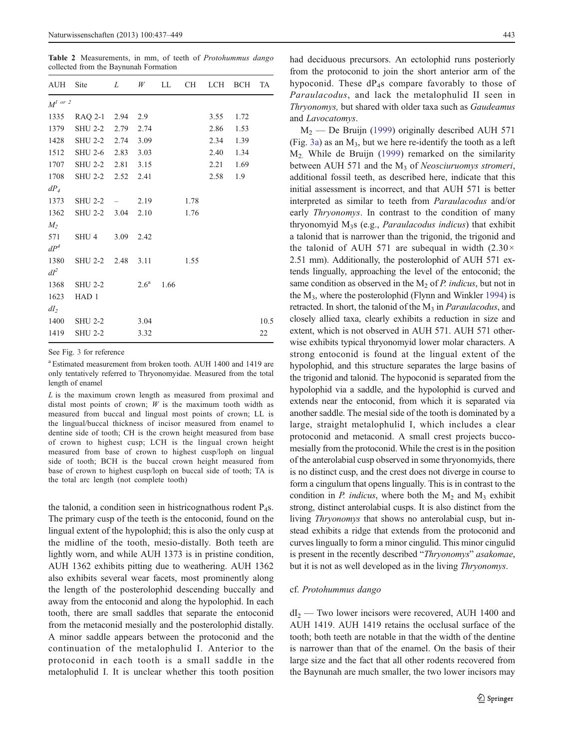<span id="page-6-0"></span>Table 2 Measurements, in mm, of teeth of Protohummus dango collected from the Baynunah Formation

| $M^{l}$ or 2           |                |                                                                                                                                                                                                         |                        |                      |      |                                                               |
|------------------------|----------------|---------------------------------------------------------------------------------------------------------------------------------------------------------------------------------------------------------|------------------------|----------------------|------|---------------------------------------------------------------|
| 1335                   |                |                                                                                                                                                                                                         |                        |                      | 1.72 |                                                               |
| 1379                   |                |                                                                                                                                                                                                         |                        |                      | 1.53 |                                                               |
|                        |                |                                                                                                                                                                                                         |                        |                      | 1.39 |                                                               |
| 1512                   |                |                                                                                                                                                                                                         |                        |                      | 1.34 |                                                               |
| 1707                   |                |                                                                                                                                                                                                         |                        |                      | 1.69 |                                                               |
|                        |                |                                                                                                                                                                                                         |                        |                      | 1.9  |                                                               |
|                        |                |                                                                                                                                                                                                         |                        |                      |      |                                                               |
|                        |                |                                                                                                                                                                                                         |                        |                      |      |                                                               |
| 1362                   |                |                                                                                                                                                                                                         | 1.76                   |                      |      |                                                               |
|                        |                |                                                                                                                                                                                                         |                        |                      |      |                                                               |
| SHU 4                  |                |                                                                                                                                                                                                         |                        |                      |      |                                                               |
|                        |                |                                                                                                                                                                                                         |                        |                      |      |                                                               |
| 1380                   |                |                                                                                                                                                                                                         |                        |                      |      |                                                               |
|                        |                |                                                                                                                                                                                                         |                        |                      |      |                                                               |
|                        | $2.6^{\rm a}$  | 1.66                                                                                                                                                                                                    |                        |                      |      |                                                               |
| HAD <sub>1</sub>       |                |                                                                                                                                                                                                         |                        |                      |      |                                                               |
|                        |                |                                                                                                                                                                                                         |                        |                      |      |                                                               |
| 1400<br>SHU 2-2        | 3.04           |                                                                                                                                                                                                         |                        |                      |      | 10.5                                                          |
| 1419<br><b>SHU 2-2</b> | 3.32           |                                                                                                                                                                                                         |                        |                      |      | 22                                                            |
|                        | <b>SHU 2-2</b> | AUH Site L<br>RAQ 2-1 2.94 2.9<br>SHU 2-2 2.79 2.74<br>1428 SHU 2-2 2.74 3.09<br>SHU 2-6 2.83 3.03<br>SHU 2-2 2.81 3.15<br>1708 SHU 2-2 2.52 2.41<br>$SHU 2-2 = 2.19$<br>SHU 2-2 3.04 2.10<br>3.09 2.42 | W<br>SHU 2-2 2.48 3.11 | LL —<br>1.78<br>1.55 |      | CH LCH BCH TA<br>3.55<br>2.86<br>2.34<br>2.40<br>2.21<br>2.58 |

See Fig. [3](#page-5-0) for reference

a Estimated measurement from broken tooth. AUH 1400 and 1419 are only tentatively referred to Thryonomyidae. Measured from the total length of enamel

 $L$  is the maximum crown length as measured from proximal and distal most points of crown;  $W$  is the maximum tooth width as measured from buccal and lingual most points of crown; LL is the lingual/buccal thickness of incisor measured from enamel to dentine side of tooth; CH is the crown height measured from base of crown to highest cusp; LCH is the lingual crown height measured from base of crown to highest cusp/loph on lingual side of tooth; BCH is the buccal crown height measured from base of crown to highest cusp/loph on buccal side of tooth; TA is the total arc length (not complete tooth)

the talonid, a condition seen in histricognathous rodent  $P_4$ s. The primary cusp of the teeth is the entoconid, found on the lingual extent of the hypolophid; this is also the only cusp at the midline of the tooth, mesio-distally. Both teeth are lightly worn, and while AUH 1373 is in pristine condition, AUH 1362 exhibits pitting due to weathering. AUH 1362 also exhibits several wear facets, most prominently along the length of the posterolophid descending buccally and away from the entoconid and along the hypolophid. In each tooth, there are small saddles that separate the entoconid from the metaconid mesially and the posterolophid distally. A minor saddle appears between the protoconid and the continuation of the metalophulid I. Anterior to the protoconid in each tooth is a small saddle in the metalophulid I. It is unclear whether this tooth position had deciduous precursors. An ectolophid runs posteriorly from the protoconid to join the short anterior arm of the hypoconid. These  $dP<sub>4</sub>s$  compare favorably to those of Paraulacodus, and lack the metalophulid II seen in Thryonomys, but shared with older taxa such as Gaudeamus and Lavocatomys.

 $M<sub>2</sub>$  — De Bruijn [\(1999](#page-11-0)) originally described AUH 571 (Fig. [3a\)](#page-5-0) as an  $M_3$ , but we here re-identify the tooth as a left M2. While de Bruijn ([1999](#page-11-0)) remarked on the similarity between AUH 571 and the  $M_3$  of Neosciuruomys stromeri, additional fossil teeth, as described here, indicate that this initial assessment is incorrect, and that AUH 571 is better interpreted as similar to teeth from Paraulacodus and/or early Thryonomys. In contrast to the condition of many thryonomyid  $M_3$ s (e.g., *Paraulacodus indicus*) that exhibit a talonid that is narrower than the trigonid, the trigonid and the talonid of AUH 571 are subequal in width  $(2.30 \times$ 2.51 mm). Additionally, the posterolophid of AUH 571 extends lingually, approaching the level of the entoconid; the same condition as observed in the  $M_2$  of P. indicus, but not in the M3, where the posterolophid (Flynn and Winkler [1994](#page-11-0)) is retracted. In short, the talonid of the  $M_3$  in *Paraulacodus*, and closely allied taxa, clearly exhibits a reduction in size and extent, which is not observed in AUH 571. AUH 571 otherwise exhibits typical thryonomyid lower molar characters. A strong entoconid is found at the lingual extent of the hypolophid, and this structure separates the large basins of the trigonid and talonid. The hypoconid is separated from the hypolophid via a saddle, and the hypolophid is curved and extends near the entoconid, from which it is separated via another saddle. The mesial side of the tooth is dominated by a large, straight metalophulid I, which includes a clear protoconid and metaconid. A small crest projects buccomesially from the protoconid. While the crest is in the position of the anterolabial cusp observed in some thryonomyids, there is no distinct cusp, and the crest does not diverge in course to form a cingulum that opens lingually. This is in contrast to the condition in P. indicus, where both the  $M_2$  and  $M_3$  exhibit strong, distinct anterolabial cusps. It is also distinct from the living Thryonomys that shows no anterolabial cusp, but instead exhibits a ridge that extends from the protoconid and curves lingually to form a minor cingulid. This minor cingulid is present in the recently described "Thryonomys" asakomae, but it is not as well developed as in the living Thryonomys.

#### cf. Protohummus dango

 $dI_2$  — Two lower incisors were recovered, AUH 1400 and AUH 1419. AUH 1419 retains the occlusal surface of the tooth; both teeth are notable in that the width of the dentine is narrower than that of the enamel. On the basis of their large size and the fact that all other rodents recovered from the Baynunah are much smaller, the two lower incisors may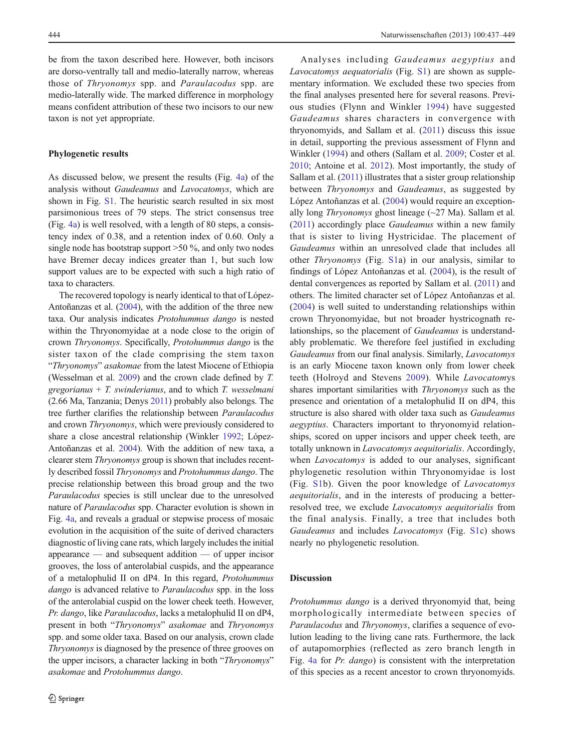be from the taxon described here. However, both incisors are dorso-ventrally tall and medio-laterally narrow, whereas those of Thryonomys spp. and Paraulacodus spp. are medio-laterally wide. The marked difference in morphology means confident attribution of these two incisors to our new taxon is not yet appropriate.

#### Phylogenetic results

As discussed below, we present the results (Fig. [4a](#page-8-0)) of the analysis without Gaudeamus and Lavocatomys, which are shown in Fig. S1. The heuristic search resulted in six most parsimonious trees of 79 steps. The strict consensus tree (Fig. [4a](#page-8-0)) is well resolved, with a length of 80 steps, a consistency index of 0.38, and a retention index of 0.60. Only a single node has bootstrap support >50 %, and only two nodes have Bremer decay indices greater than 1, but such low support values are to be expected with such a high ratio of taxa to characters.

The recovered topology is nearly identical to that of López-Antoñanzas et al. ([2004](#page-12-0)), with the addition of the three new taxa. Our analysis indicates Protohummus dango is nested within the Thryonomyidae at a node close to the origin of crown Thryonomys. Specifically, Protohummus dango is the sister taxon of the clade comprising the stem taxon "Thryonomys" asakomae from the latest Miocene of Ethiopia (Wesselman et al. [2009\)](#page-12-0) and the crown clade defined by T. gregorianus +  $T$ . swinderianus, and to which  $T$ . wesselmani (2.66 Ma, Tanzania; Denys [2011](#page-11-0)) probably also belongs. The tree further clarifies the relationship between Paraulacodus and crown Thryonomys, which were previously considered to share a close ancestral relationship (Winkler [1992;](#page-12-0) López-Antoñanzas et al. [2004](#page-12-0)). With the addition of new taxa, a clearer stem Thryonomys group is shown that includes recently described fossil Thryonomys and Protohummus dango. The precise relationship between this broad group and the two Paraulacodus species is still unclear due to the unresolved nature of Paraulacodus spp. Character evolution is shown in Fig. [4a,](#page-8-0) and reveals a gradual or stepwise process of mosaic evolution in the acquisition of the suite of derived characters diagnostic of living cane rats, which largely includes the initial appearance — and subsequent addition — of upper incisor grooves, the loss of anterolabial cuspids, and the appearance of a metalophulid II on dP4. In this regard, Protohummus dango is advanced relative to *Paraulacodus* spp. in the loss of the anterolabial cuspid on the lower cheek teeth. However, Pr. dango, like Paraulacodus, lacks a metalophulid II on dP4, present in both "Thryonomys" asakomae and Thryonomys spp. and some older taxa. Based on our analysis, crown clade Thryonomys is diagnosed by the presence of three grooves on the upper incisors, a character lacking in both "Thryonomys" asakomae and Protohummus dango.

Analyses including Gaudeamus aegyptius and Lavocatomys aequatorialis (Fig. S1) are shown as supplementary information. We excluded these two species from the final analyses presented here for several reasons. Previous studies (Flynn and Winkler [1994\)](#page-11-0) have suggested Gaudeamus shares characters in convergence with thryonomyids, and Sallam et al. [\(2011\)](#page-12-0) discuss this issue in detail, supporting the previous assessment of Flynn and Winkler [\(1994](#page-11-0)) and others (Sallam et al. [2009](#page-12-0); Coster et al. [2010](#page-11-0); Antoine et al. [2012](#page-11-0)). Most importantly, the study of Sallam et al. [\(2011\)](#page-12-0) illustrates that a sister group relationship between Thryonomys and Gaudeamus, as suggested by López Antoñanzas et al. [\(2004](#page-12-0)) would require an exceptionally long Thryonomys ghost lineage (~27 Ma). Sallam et al. [\(2011\)](#page-12-0) accordingly place Gaudeamus within a new family that is sister to living Hystricidae. The placement of Gaudeamus within an unresolved clade that includes all other Thryonomys (Fig. S1a) in our analysis, similar to findings of López Antoñanzas et al. [\(2004](#page-12-0)), is the result of dental convergences as reported by Sallam et al. [\(2011\)](#page-12-0) and others. The limited character set of López Antoñanzas et al. [\(2004](#page-12-0)) is well suited to understanding relationships within crown Thryonomyidae, but not broader hystricognath relationships, so the placement of Gaudeamus is understandably problematic. We therefore feel justified in excluding Gaudeamus from our final analysis. Similarly, Lavocatomys is an early Miocene taxon known only from lower cheek teeth (Holroyd and Stevens [2009\)](#page-11-0). While Lavocatomys shares important similarities with Thryonomys such as the presence and orientation of a metalophulid II on dP4, this structure is also shared with older taxa such as Gaudeamus aegyptius. Characters important to thryonomyid relationships, scored on upper incisors and upper cheek teeth, are totally unknown in Lavocatomys aequitorialis. Accordingly, when *Lavocatomys* is added to our analyses, significant phylogenetic resolution within Thryonomyidae is lost (Fig. S1b). Given the poor knowledge of Lavocatomys aequitorialis, and in the interests of producing a betterresolved tree, we exclude Lavocatomys aequitorialis from the final analysis. Finally, a tree that includes both Gaudeamus and includes Lavocatomys (Fig. S1c) shows nearly no phylogenetic resolution.

#### Discussion

Protohummus dango is a derived thryonomyid that, being morphologically intermediate between species of Paraulacodus and Thryonomys, clarifies a sequence of evolution leading to the living cane rats. Furthermore, the lack of autapomorphies (reflected as zero branch length in Fig. [4a](#page-8-0) for Pr. dango) is consistent with the interpretation of this species as a recent ancestor to crown thryonomyids.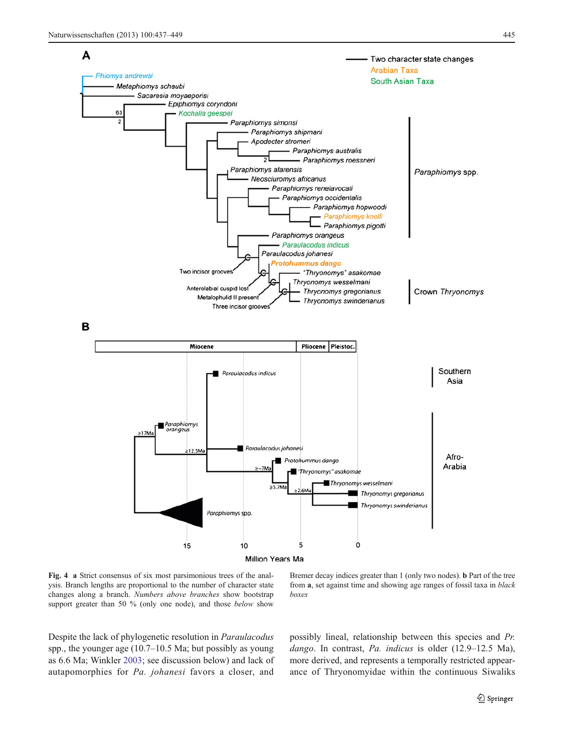<span id="page-8-0"></span>

Fig. 4 a Strict consensus of six most parsimonious trees of the analysis. Branch lengths are proportional to the number of character state changes along a branch. Numbers above branches show bootstrap support greater than 50 % (only one node), and those *below* show

Bremer decay indices greater than 1 (only two nodes). b Part of the tree from a, set against time and showing age ranges of fossil taxa in black boxes

Despite the lack of phylogenetic resolution in Paraulacodus spp., the younger age (10.7–10.5 Ma; but possibly as young as 6.6 Ma; Winkler [2003](#page-12-0); see discussion below) and lack of autapomorphies for Pa. johanesi favors a closer, and possibly lineal, relationship between this species and Pr. dango. In contrast, Pa. indicus is older (12.9–12.5 Ma), more derived, and represents a temporally restricted appearance of Thryonomyidae within the continuous Siwaliks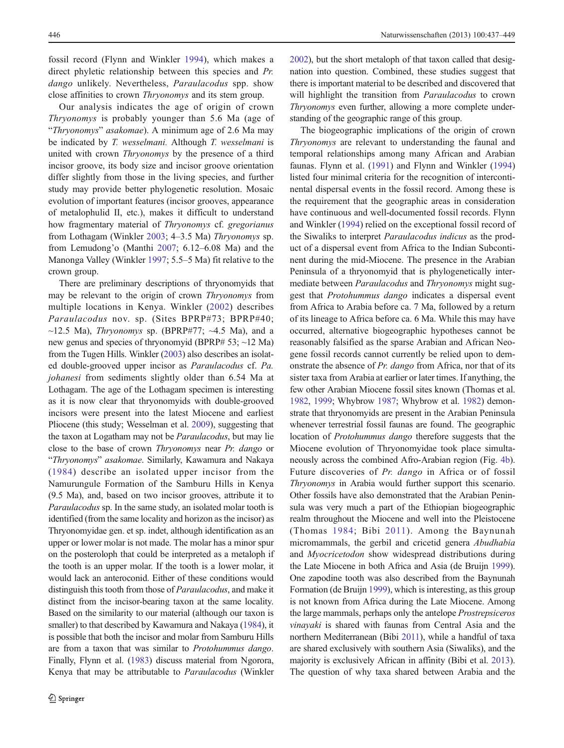fossil record (Flynn and Winkler [1994](#page-11-0)), which makes a direct phyletic relationship between this species and Pr. dango unlikely. Nevertheless, *Paraulacodus* spp. show close affinities to crown Thryonomys and its stem group.

Our analysis indicates the age of origin of crown Thryonomys is probably younger than 5.6 Ma (age of "Thryonomys" asakomae). A minimum age of 2.6 Ma may be indicated by T. wesselmani. Although T. wesselmani is united with crown Thryonomys by the presence of a third incisor groove, its body size and incisor groove orientation differ slightly from those in the living species, and further study may provide better phylogenetic resolution. Mosaic evolution of important features (incisor grooves, appearance of metalophulid II, etc.), makes it difficult to understand how fragmentary material of Thryonomys cf. gregorianus from Lothagam (Winkler [2003;](#page-12-0) 4–3.5 Ma) Thryonomys sp. from Lemudong'o (Manthi [2007](#page-12-0); 6.12–6.08 Ma) and the Manonga Valley (Winkler [1997;](#page-12-0) 5.5–5 Ma) fit relative to the crown group.

There are preliminary descriptions of thryonomyids that may be relevant to the origin of crown Thryonomys from multiple locations in Kenya. Winkler ([2002](#page-12-0)) describes Paraulacodus nov. sp. (Sites BPRP#73; BPRP#40;  $\sim$ 12.5 Ma), *Thryonomys* sp. (BPRP#77;  $\sim$ 4.5 Ma), and a new genus and species of thryonomyid (BPRP# 53; ~12 Ma) from the Tugen Hills. Winkler [\(2003](#page-12-0)) also describes an isolated double-grooved upper incisor as Paraulacodus cf. Pa. johanesi from sediments slightly older than 6.54 Ma at Lothagam. The age of the Lothagam specimen is interesting as it is now clear that thryonomyids with double-grooved incisors were present into the latest Miocene and earliest Pliocene (this study; Wesselman et al. [2009\)](#page-12-0), suggesting that the taxon at Logatham may not be Paraulacodus, but may lie close to the base of crown Thryonomys near Pr. dango or "Thryonomys" asakomae. Similarly, Kawamura and Nakaya ([1984](#page-11-0)) describe an isolated upper incisor from the Namurungule Formation of the Samburu Hills in Kenya (9.5 Ma), and, based on two incisor grooves, attribute it to Paraulacodus sp. In the same study, an isolated molar tooth is identified (from the same locality and horizon as the incisor) as Thryonomyidae gen. et sp. indet, although identification as an upper or lower molar is not made. The molar has a minor spur on the posteroloph that could be interpreted as a metaloph if the tooth is an upper molar. If the tooth is a lower molar, it would lack an anteroconid. Either of these conditions would distinguish this tooth from those of *Paraulacodus*, and make it distinct from the incisor-bearing taxon at the same locality. Based on the similarity to our material (although our taxon is smaller) to that described by Kawamura and Nakaya ([1984](#page-11-0)), it is possible that both the incisor and molar from Samburu Hills are from a taxon that was similar to Protohummus dango. Finally, Flynn et al. [\(1983](#page-11-0)) discuss material from Ngorora, Kenya that may be attributable to *Paraulacodus* (Winkler

[2002\)](#page-12-0), but the short metaloph of that taxon called that designation into question. Combined, these studies suggest that there is important material to be described and discovered that will highlight the transition from *Paraulacodus* to crown Thryonomys even further, allowing a more complete understanding of the geographic range of this group.

The biogeographic implications of the origin of crown Thryonomys are relevant to understanding the faunal and temporal relationships among many African and Arabian faunas. Flynn et al. [\(1991](#page-11-0)) and Flynn and Winkler [\(1994](#page-11-0)) listed four minimal criteria for the recognition of intercontinental dispersal events in the fossil record. Among these is the requirement that the geographic areas in consideration have continuous and well-documented fossil records. Flynn and Winkler [\(1994](#page-11-0)) relied on the exceptional fossil record of the Siwaliks to interpret Paraulacodus indicus as the product of a dispersal event from Africa to the Indian Subcontinent during the mid-Miocene. The presence in the Arabian Peninsula of a thryonomyid that is phylogenetically intermediate between Paraulacodus and Thryonomys might suggest that Protohummus dango indicates a dispersal event from Africa to Arabia before ca. 7 Ma, followed by a return of its lineage to Africa before ca. 6 Ma. While this may have occurred, alternative biogeographic hypotheses cannot be reasonably falsified as the sparse Arabian and African Neogene fossil records cannot currently be relied upon to demonstrate the absence of Pr. dango from Africa, nor that of its sister taxa from Arabia at earlier or later times. If anything, the few other Arabian Miocene fossil sites known (Thomas et al. [1982,](#page-12-0) [1999;](#page-12-0) Whybrow [1987](#page-12-0); Whybrow et al. [1982](#page-12-0)) demonstrate that thryonomyids are present in the Arabian Peninsula whenever terrestrial fossil faunas are found. The geographic location of Protohummus dango therefore suggests that the Miocene evolution of Thryonomyidae took place simultaneously across the combined Afro-Arabian region (Fig. [4b\)](#page-8-0). Future discoveries of Pr. dango in Africa or of fossil Thryonomys in Arabia would further support this scenario. Other fossils have also demonstrated that the Arabian Peninsula was very much a part of the Ethiopian biogeographic realm throughout the Miocene and well into the Pleistocene (Thomas [1984;](#page-12-0) Bibi [2011\)](#page-11-0). Among the Baynunah micromammals, the gerbil and cricetid genera Abudhabia and Myocricetodon show widespread distributions during the Late Miocene in both Africa and Asia (de Bruijn [1999\)](#page-11-0). One zapodine tooth was also described from the Baynunah Formation (de Bruijn [1999\)](#page-11-0), which is interesting, as this group is not known from Africa during the Late Miocene. Among the large mammals, perhaps only the antelope Prostrepsiceros vinayaki is shared with faunas from Central Asia and the northern Mediterranean (Bibi [2011\)](#page-11-0), while a handful of taxa are shared exclusively with southern Asia (Siwaliks), and the majority is exclusively African in affinity (Bibi et al. [2013\)](#page-11-0). The question of why taxa shared between Arabia and the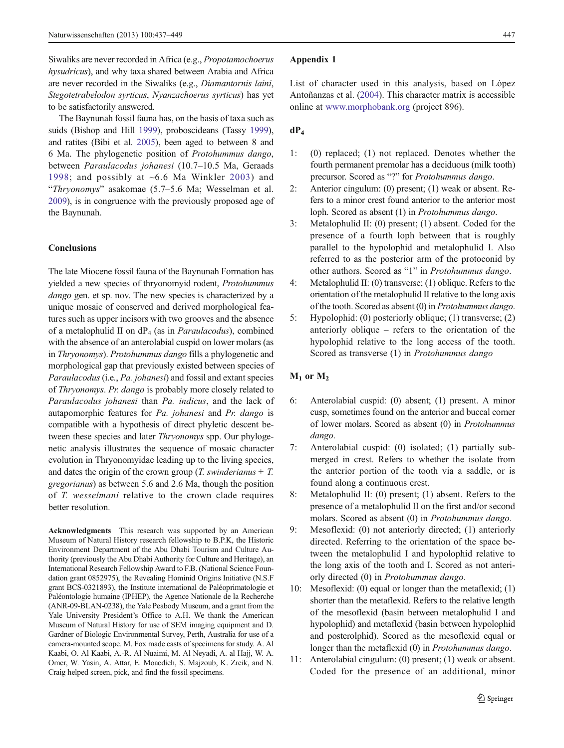<span id="page-10-0"></span>Siwaliks are never recorded in Africa (e.g., Propotamochoerus hysudricus), and why taxa shared between Arabia and Africa are never recorded in the Siwaliks (e.g., Diamantornis laini, Stegotetrabelodon syrticus, Nyanzachoerus syrticus) has yet to be satisfactorily answered.

The Baynunah fossil fauna has, on the basis of taxa such as suids (Bishop and Hill [1999](#page-11-0)), proboscideans (Tassy [1999\)](#page-12-0), and ratites (Bibi et al. [2005\)](#page-11-0), been aged to between 8 and 6 Ma. The phylogenetic position of Protohummus dango, between Paraulacodus johanesi (10.7–10.5 Ma, Geraads [1998](#page-11-0); and possibly at  $~6.6$  Ma Winkler [2003\)](#page-12-0) and "Thryonomys" asakomae (5.7–5.6 Ma; Wesselman et al. [2009\)](#page-12-0), is in congruence with the previously proposed age of the Baynunah.

#### **Conclusions**

The late Miocene fossil fauna of the Baynunah Formation has yielded a new species of thryonomyid rodent, Protohummus dango gen. et sp. nov. The new species is characterized by a unique mosaic of conserved and derived morphological features such as upper incisors with two grooves and the absence of a metalophulid II on  $dP_4$  (as in *Paraulacodus*), combined with the absence of an anterolabial cuspid on lower molars (as in Thryonomys). Protohummus dango fills a phylogenetic and morphological gap that previously existed between species of Paraulacodus (i.e., Pa. johanesi) and fossil and extant species of Thryonomys. Pr. dango is probably more closely related to Paraulacodus johanesi than Pa. indicus, and the lack of autapomorphic features for Pa. johanesi and Pr. dango is compatible with a hypothesis of direct phyletic descent between these species and later *Thryonomys* spp. Our phylogenetic analysis illustrates the sequence of mosaic character evolution in Thryonomyidae leading up to the living species, and dates the origin of the crown group  $(T. s$  *swinderianus* +  $T.$ gregorianus) as between 5.6 and 2.6 Ma, though the position of T. wesselmani relative to the crown clade requires better resolution.

Acknowledgments This research was supported by an American Museum of Natural History research fellowship to B.P.K, the Historic Environment Department of the Abu Dhabi Tourism and Culture Authority (previously the Abu Dhabi Authority for Culture and Heritage), an International Research Fellowship Award to F.B. (National Science Foundation grant 0852975), the Revealing Hominid Origins Initiative (N.S.F grant BCS-0321893), the Institute international de Paléoprimatologie et Paléontologie humaine (IPHEP), the Agence Nationale de la Recherche (ANR-09-BLAN-0238), the Yale Peabody Museum, and a grant from the Yale University President's Office to A.H. We thank the American Museum of Natural History for use of SEM imaging equipment and D. Gardner of Biologic Environmental Survey, Perth, Australia for use of a camera-mounted scope. M. Fox made casts of specimens for study. A. Al Kaabi, O. Al Kaabi, A.-R. Al Nuaimi, M. Al Neyadi, A. al Hajj, W. A. Omer, W. Yasin, A. Attar, E. Moacdieh, S. Majzoub, K. Zreik, and N. Craig helped screen, pick, and find the fossil specimens.

#### Appendix 1

List of character used in this analysis, based on López Antoñanzas et al. [\(2004](#page-12-0)). This character matrix is accessible online at [www.morphobank.org](http://www.morphobank.org/) (project 896).

# $dP_4$

- 1: (0) replaced; (1) not replaced. Denotes whether the fourth permanent premolar has a deciduous (milk tooth) precursor. Scored as "?" for Protohummus dango.
- 2: Anterior cingulum: (0) present; (1) weak or absent. Refers to a minor crest found anterior to the anterior most loph. Scored as absent (1) in Protohummus dango.
- 3: Metalophulid II: (0) present; (1) absent. Coded for the presence of a fourth loph between that is roughly parallel to the hypolophid and metalophulid I. Also referred to as the posterior arm of the protoconid by other authors. Scored as "1" in Protohummus dango.
- 4: Metalophulid II: (0) transverse; (1) oblique. Refers to the orientation of the metalophulid II relative to the long axis of the tooth. Scored as absent (0) in Protohummus dango.
- 5: Hypolophid: (0) posteriorly oblique; (1) transverse; (2) anteriorly oblique – refers to the orientation of the hypolophid relative to the long access of the tooth. Scored as transverse (1) in *Protohummus dango*

# $M_1$  or  $M_2$

- 6: Anterolabial cuspid: (0) absent; (1) present. A minor cusp, sometimes found on the anterior and buccal corner of lower molars. Scored as absent (0) in Protohummus dango.
- 7: Anterolabial cuspid: (0) isolated; (1) partially submerged in crest. Refers to whether the isolate from the anterior portion of the tooth via a saddle, or is found along a continuous crest.
- 8: Metalophulid II: (0) present; (1) absent. Refers to the presence of a metalophulid II on the first and/or second molars. Scored as absent (0) in Protohummus dango.
- 9: Mesoflexid: (0) not anteriorly directed; (1) anteriorly directed. Referring to the orientation of the space between the metalophulid I and hypolophid relative to the long axis of the tooth and I. Scored as not anteriorly directed (0) in Protohummus dango.
- 10: Mesoflexid: (0) equal or longer than the metaflexid; (1) shorter than the metaflexid. Refers to the relative length of the mesoflexid (basin between metalophulid I and hypolophid) and metaflexid (basin between hypolophid and posterolphid). Scored as the mesoflexid equal or longer than the metaflexid (0) in *Protohummus dango*.
- 11: Anterolabial cingulum: (0) present; (1) weak or absent. Coded for the presence of an additional, minor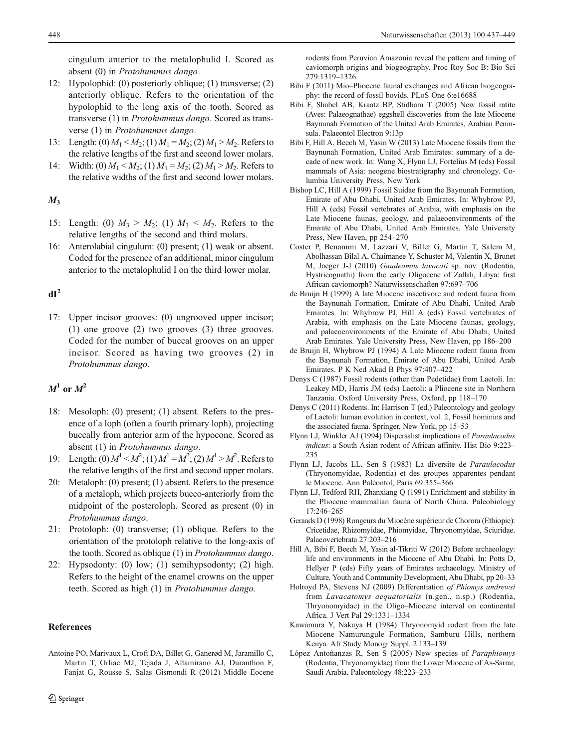<span id="page-11-0"></span>cingulum anterior to the metalophulid I. Scored as absent (0) in Protohummus dango.

- 12: Hypolophid: (0) posteriorly oblique; (1) transverse; (2) anteriorly oblique. Refers to the orientation of the hypolophid to the long axis of the tooth. Scored as transverse (1) in Protohummus dango. Scored as transverse (1) in Protohummus dango.
- 13: Length: (0)  $M_1 < M_2$ ; (1)  $M_1 = M_2$ ; (2)  $M_1 > M_2$ . Refers to the relative lengths of the first and second lower molars.
- 14: Width: (0)  $M_1 < M_2$ ; (1)  $M_1 = M_2$ ; (2)  $M_1 > M_2$ . Refers to the relative widths of the first and second lower molars.

# $M_3$

- 15: Length: (0)  $M_3 > M_2$ ; (1)  $M_3 < M_2$ . Refers to the relative lengths of the second and third molars.
- 16: Anterolabial cingulum: (0) present; (1) weak or absent. Coded for the presence of an additional, minor cingulum anterior to the metalophulid I on the third lower molar.

# $dI<sup>2</sup>$

17: Upper incisor grooves: (0) ungrooved upper incisor; (1) one groove (2) two grooves (3) three grooves. Coded for the number of buccal grooves on an upper incisor. Scored as having two grooves (2) in Protohummus dango.

# $M^1$  or  $M^2$

- 18: Mesoloph: (0) present; (1) absent. Refers to the presence of a loph (often a fourth primary loph), projecting buccally from anterior arm of the hypocone. Scored as absent (1) in Protohummus dango.
- 19: Length: (0)  $M^1 < M^2$ ; (1)  $M^1 = M^2$ ; (2)  $M^1 > M^2$ . Refers to the relative lengths of the first and second upper molars.
- 20: Metaloph: (0) present; (1) absent. Refers to the presence of a metaloph, which projects bucco-anteriorly from the midpoint of the posteroloph. Scored as present (0) in Protohummus dango.
- 21: Protoloph: (0) transverse; (1) oblique. Refers to the orientation of the protoloph relative to the long-axis of the tooth. Scored as oblique (1) in Protohummus dango.
- 22: Hypsodonty: (0) low; (1) semihypsodonty; (2) high. Refers to the height of the enamel crowns on the upper teeth. Scored as high (1) in Protohummus dango.

# References

Antoine PO, Marivaux L, Croft DA, Billet G, Ganerød M, Jaramillo C, Martin T, Orliac MJ, Tejada J, Altamirano AJ, Duranthon F, Fanjat G, Rousse S, Salas Gismondi R (2012) Middle Eocene

rodents from Peruvian Amazonia reveal the pattern and timing of caviomorph origins and biogeography. Proc Roy Soc B: Bio Sci 279:1319–1326

- Bibi F (2011) Mio–Pliocene faunal exchanges and African biogeography: the record of fossil bovids. PLoS One 6:e16688
- Bibi F, Shabel AB, Kraatz BP, Stidham T (2005) New fossil ratite (Aves: Palaeognathae) eggshell discoveries from the late Miocene Baynunah Formation of the United Arab Emirates, Arabian Peninsula. Palaeontol Electron 9:13p
- Bibi F, Hill A, Beech M, Yasin W (2013) Late Miocene fossils from the Baynunah Formation, United Arab Emirates: summary of a decade of new work. In: Wang X, Flynn LJ, Fortelius M (eds) Fossil mammals of Asia: neogene biostratigraphy and chronology. Columbia University Press, New York
- Bishop LC, Hill A (1999) Fossil Suidae from the Baynunah Formation, Emirate of Abu Dhabi, United Arab Emirates. In: Whybrow PJ, Hill A (eds) Fossil vertebrates of Arabia, with emphasis on the Late Miocene faunas, geology, and palaeoenvironments of the Emirate of Abu Dhabi, United Arab Emirates. Yale University Press, New Haven, pp 254–270
- Coster P, Benammi M, Lazzari V, Billet G, Martin T, Salem M, Abolhassan Bilal A, Chaimanee Y, Schuster M, Valentin X, Brunet M, Jaeger J-J (2010) Gaudeamus lavocati sp. nov. (Rodentia, Hystricognathi) from the early Oligocene of Zallah, Libya: first African caviomorph? Naturwissenschaften 97:697–706
- de Bruijn H (1999) A late Miocene insectivore and rodent fauna from the Baynunah Formation, Emirate of Abu Dhabi, United Arab Emirates. In: Whybrow PJ, Hill A (eds) Fossil vertebrates of Arabia, with emphasis on the Late Miocene faunas, geology, and palaeoenvironments of the Emirate of Abu Dhabi, United Arab Emirates. Yale University Press, New Haven, pp 186–200
- de Bruijn H, Whybrow PJ (1994) A Late Miocene rodent fauna from the Baynunah Formation, Emirate of Abu Dhabi, United Arab Emirates. P K Ned Akad B Phys 97:407–422
- Denys C (1987) Fossil rodents (other than Pedetidae) from Laetoli. In: Leakey MD, Harris JM (eds) Laetoli: a Pliocene site in Northern Tanzania. Oxford University Press, Oxford, pp 118–170
- Denys C (2011) Rodents. In: Harrison T (ed.) Paleontology and geology of Laetoli: human evolution in context, vol. 2, Fossil hominins and the associated fauna. Springer, New York, pp 15–53
- Flynn LJ, Winkler AJ (1994) Dispersalist implications of Paraulacodus indicus: a South Asian rodent of African affinity. Hist Bio 9:223– 235
- Flynn LJ, Jacobs LL, Sen S (1983) La diversite de Paraulacodus (Thryonomyidae, Rodentia) et des groupes apparentes pendant le Miocene. Ann Paléontol, Paris 69:355–366
- Flynn LJ, Tedford RH, Zhanxiang Q (1991) Enrichment and stability in the Pliocene mammalian fauna of North China. Paleobiology 17:246–265
- Geraads D (1998) Rongeurs du Miocène supérieur de Chorora (Ethiopie): Cricetidae, Rhizomyidae, Phiomyidae, Thryonomyidae, Sciuridae. Palaeovertebrata 27:203–216
- Hill A, Bibi F, Beech M, Yasin al-Tikriti W (2012) Before archaeology: life and environments in the Miocene of Abu Dhabi. In: Potts D, Hellyer P (eds) Fifty years of Emirates archaeology. Ministry of Culture, Youth and Community Development, Abu Dhabi, pp 20–33
- Holroyd PA, Stevens NJ (2009) Differentiation of Phiomys andrewsi from Lavacatomys aequatorialis (n.gen., n.sp.) (Rodentia, Thryonomyidae) in the Oligo–Miocene interval on continental Africa. J Vert Pal 29:1331–1334
- Kawamura Y, Nakaya H (1984) Thryonomyid rodent from the late Miocene Namurungule Formation, Samburu Hills, northern Kenya. Afr Study Monogr Suppl. 2:133–139
- López Antoñanzas R, Sen S (2005) New species of Paraphiomys (Rodentia, Thryonomyidae) from the Lower Miocene of As-Sarrar, Saudi Arabia. Paleontology 48:223–233